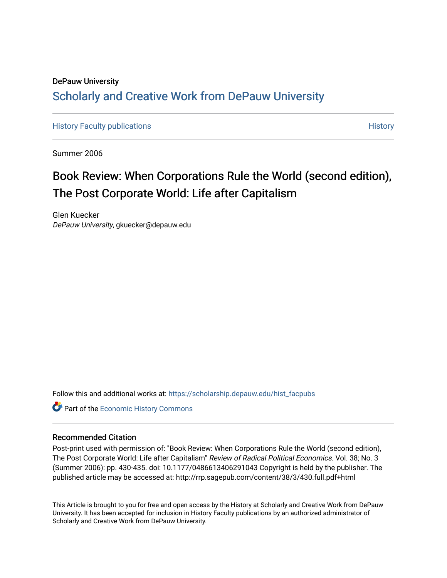## DePauw University Scholarly and [Creative Work from DePauw Univ](https://scholarship.depauw.edu/)ersity

[History Faculty publications](https://scholarship.depauw.edu/hist_facpubs) **[History](https://scholarship.depauw.edu/history) Faculty publications History History History** 

Summer 2006

## Book Review: When Corporations Rule the World (second edition), The Post Corporate World: Life after Capitalism

Glen Kuecker DePauw University, gkuecker@depauw.edu

Follow this and additional works at: [https://scholarship.depauw.edu/hist\\_facpubs](https://scholarship.depauw.edu/hist_facpubs?utm_source=scholarship.depauw.edu%2Fhist_facpubs%2F6&utm_medium=PDF&utm_campaign=PDFCoverPages) 

**Part of the [Economic History Commons](https://network.bepress.com/hgg/discipline/343?utm_source=scholarship.depauw.edu%2Fhist_facpubs%2F6&utm_medium=PDF&utm_campaign=PDFCoverPages)** 

## Recommended Citation

Post-print used with permission of: "Book Review: When Corporations Rule the World (second edition), The Post Corporate World: Life after Capitalism" Review of Radical Political Economics. Vol. 38; No. 3 (Summer 2006): pp. 430-435. doi: 10.1177/0486613406291043 Copyright is held by the publisher. The published article may be accessed at: http://rrp.sagepub.com/content/38/3/430.full.pdf+html

This Article is brought to you for free and open access by the History at Scholarly and Creative Work from DePauw University. It has been accepted for inclusion in History Faculty publications by an authorized administrator of Scholarly and Creative Work from DePauw University.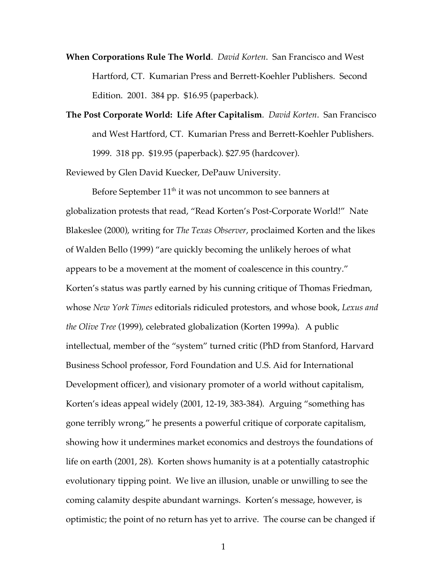- **When Corporations Rule The World**. *David Korten*. San Francisco and West Hartford, CT. Kumarian Press and Berrett-Koehler Publishers. Second Edition. 2001. 384 pp. \$16.95 (paperback).
- **The Post Corporate World: Life After Capitalism**. *David Korten*. San Francisco and West Hartford, CT. Kumarian Press and Berrett-Koehler Publishers. 1999. 318 pp. \$19.95 (paperback). \$27.95 (hardcover).

Reviewed by Glen David Kuecker, DePauw University.

Before September  $11<sup>th</sup>$  it was not uncommon to see banners at globalization protests that read, "Read Korten's Post-Corporate World!" Nate Blakeslee (2000), writing for *The Texas Observer*, proclaimed Korten and the likes of Walden Bello (1999) "are quickly becoming the unlikely heroes of what appears to be a movement at the moment of coalescence in this country." Korten's status was partly earned by his cunning critique of Thomas Friedman, whose *New York Times* editorials ridiculed protestors, and whose book, *Lexus and the Olive Tree* (1999), celebrated globalization (Korten 1999a). A public intellectual, member of the "system" turned critic (PhD from Stanford, Harvard Business School professor, Ford Foundation and U.S. Aid for International Development officer), and visionary promoter of a world without capitalism, Korten's ideas appeal widely (2001, 12-19, 383-384). Arguing "something has gone terribly wrong," he presents a powerful critique of corporate capitalism, showing how it undermines market economics and destroys the foundations of life on earth (2001, 28). Korten shows humanity is at a potentially catastrophic evolutionary tipping point. We live an illusion, unable or unwilling to see the coming calamity despite abundant warnings. Korten's message, however, is optimistic; the point of no return has yet to arrive. The course can be changed if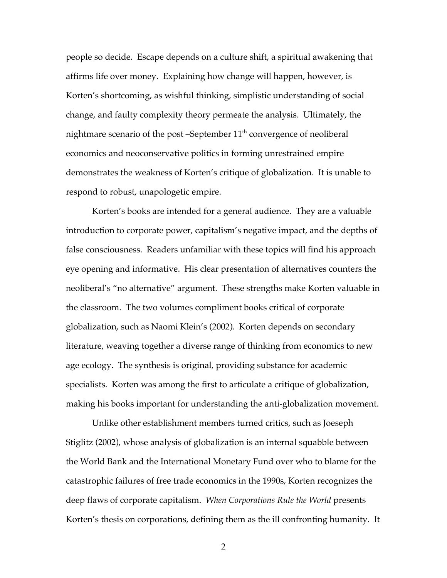people so decide. Escape depends on a culture shift, a spiritual awakening that affirms life over money. Explaining how change will happen, however, is Korten's shortcoming, as wishful thinking, simplistic understanding of social change, and faulty complexity theory permeate the analysis. Ultimately, the nightmare scenario of the post –September  $11<sup>th</sup>$  convergence of neoliberal economics and neoconservative politics in forming unrestrained empire demonstrates the weakness of Korten's critique of globalization. It is unable to respond to robust, unapologetic empire.

Korten's books are intended for a general audience. They are a valuable introduction to corporate power, capitalism's negative impact, and the depths of false consciousness. Readers unfamiliar with these topics will find his approach eye opening and informative. His clear presentation of alternatives counters the neoliberal's "no alternative" argument. These strengths make Korten valuable in the classroom. The two volumes compliment books critical of corporate globalization, such as Naomi Klein's (2002). Korten depends on secondary literature, weaving together a diverse range of thinking from economics to new age ecology. The synthesis is original, providing substance for academic specialists. Korten was among the first to articulate a critique of globalization, making his books important for understanding the anti-globalization movement.

Unlike other establishment members turned critics, such as Joeseph Stiglitz (2002), whose analysis of globalization is an internal squabble between the World Bank and the International Monetary Fund over who to blame for the catastrophic failures of free trade economics in the 1990s, Korten recognizes the deep flaws of corporate capitalism. *When Corporations Rule the World* presents Korten's thesis on corporations, defining them as the ill confronting humanity. It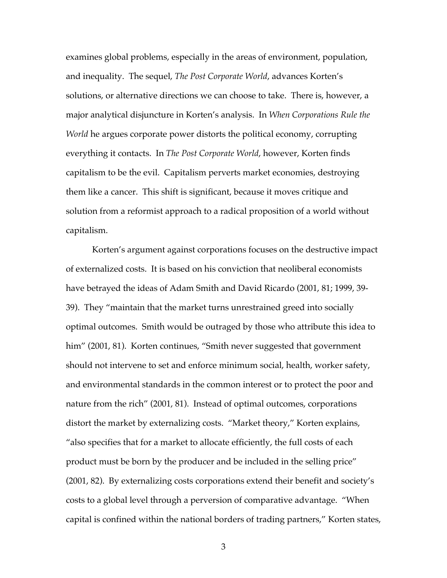examines global problems, especially in the areas of environment, population, and inequality. The sequel, *The Post Corporate World*, advances Korten's solutions, or alternative directions we can choose to take. There is, however, a major analytical disjuncture in Korten's analysis. In *When Corporations Rule the World* he argues corporate power distorts the political economy, corrupting everything it contacts. In *The Post Corporate World*, however, Korten finds capitalism to be the evil. Capitalism perverts market economies, destroying them like a cancer. This shift is significant, because it moves critique and solution from a reformist approach to a radical proposition of a world without capitalism.

Korten's argument against corporations focuses on the destructive impact of externalized costs. It is based on his conviction that neoliberal economists have betrayed the ideas of Adam Smith and David Ricardo (2001, 81; 1999, 39- 39). They "maintain that the market turns unrestrained greed into socially optimal outcomes. Smith would be outraged by those who attribute this idea to him" (2001, 81). Korten continues, "Smith never suggested that government should not intervene to set and enforce minimum social, health, worker safety, and environmental standards in the common interest or to protect the poor and nature from the rich" (2001, 81). Instead of optimal outcomes, corporations distort the market by externalizing costs. "Market theory," Korten explains, "also specifies that for a market to allocate efficiently, the full costs of each product must be born by the producer and be included in the selling price" (2001, 82). By externalizing costs corporations extend their benefit and society's costs to a global level through a perversion of comparative advantage. "When capital is confined within the national borders of trading partners," Korten states,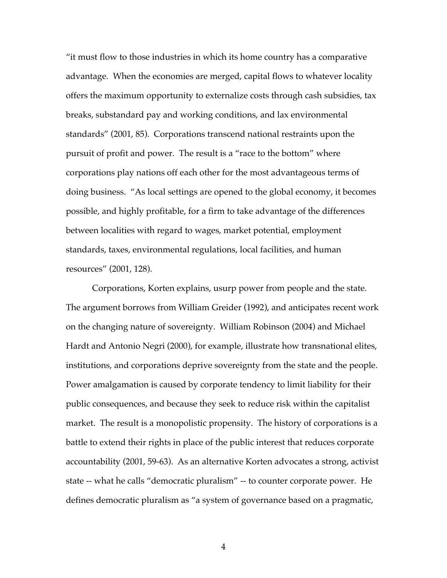"it must flow to those industries in which its home country has a comparative advantage. When the economies are merged, capital flows to whatever locality offers the maximum opportunity to externalize costs through cash subsidies, tax breaks, substandard pay and working conditions, and lax environmental standards" (2001, 85). Corporations transcend national restraints upon the pursuit of profit and power. The result is a "race to the bottom" where corporations play nations off each other for the most advantageous terms of doing business. "As local settings are opened to the global economy, it becomes possible, and highly profitable, for a firm to take advantage of the differences between localities with regard to wages, market potential, employment standards, taxes, environmental regulations, local facilities, and human resources" (2001, 128).

Corporations, Korten explains, usurp power from people and the state. The argument borrows from William Greider (1992), and anticipates recent work on the changing nature of sovereignty. William Robinson (2004) and Michael Hardt and Antonio Negri (2000), for example, illustrate how transnational elites, institutions, and corporations deprive sovereignty from the state and the people. Power amalgamation is caused by corporate tendency to limit liability for their public consequences, and because they seek to reduce risk within the capitalist market. The result is a monopolistic propensity. The history of corporations is a battle to extend their rights in place of the public interest that reduces corporate accountability (2001, 59-63). As an alternative Korten advocates a strong, activist state -- what he calls "democratic pluralism" -- to counter corporate power. He defines democratic pluralism as "a system of governance based on a pragmatic,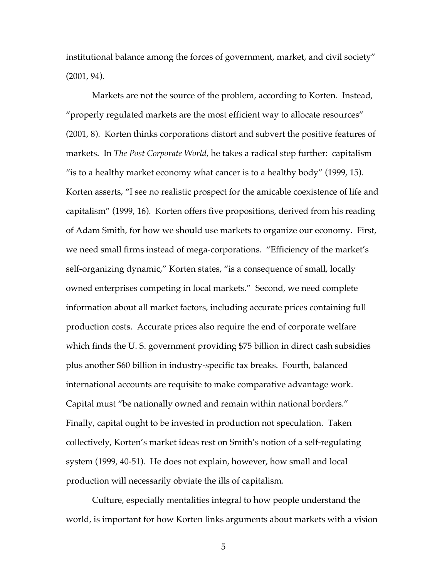institutional balance among the forces of government, market, and civil society" (2001, 94).

Markets are not the source of the problem, according to Korten. Instead, "properly regulated markets are the most efficient way to allocate resources" (2001, 8). Korten thinks corporations distort and subvert the positive features of markets. In *The Post Corporate World*, he takes a radical step further: capitalism "is to a healthy market economy what cancer is to a healthy body" (1999, 15). Korten asserts, "I see no realistic prospect for the amicable coexistence of life and capitalism" (1999, 16). Korten offers five propositions, derived from his reading of Adam Smith, for how we should use markets to organize our economy. First, we need small firms instead of mega-corporations. "Efficiency of the market's self-organizing dynamic," Korten states, "is a consequence of small, locally owned enterprises competing in local markets." Second, we need complete information about all market factors, including accurate prices containing full production costs. Accurate prices also require the end of corporate welfare which finds the U. S. government providing \$75 billion in direct cash subsidies plus another \$60 billion in industry-specific tax breaks. Fourth, balanced international accounts are requisite to make comparative advantage work. Capital must "be nationally owned and remain within national borders." Finally, capital ought to be invested in production not speculation. Taken collectively, Korten's market ideas rest on Smith's notion of a self-regulating system (1999, 40-51). He does not explain, however, how small and local production will necessarily obviate the ills of capitalism.

Culture, especially mentalities integral to how people understand the world, is important for how Korten links arguments about markets with a vision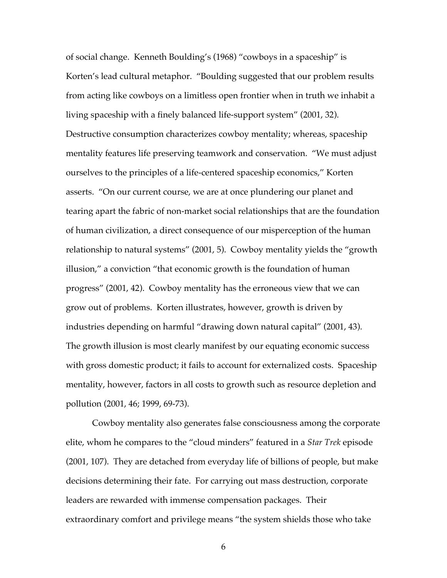of social change. Kenneth Boulding's (1968) "cowboys in a spaceship" is Korten's lead cultural metaphor. "Boulding suggested that our problem results from acting like cowboys on a limitless open frontier when in truth we inhabit a living spaceship with a finely balanced life-support system" (2001, 32). Destructive consumption characterizes cowboy mentality; whereas, spaceship mentality features life preserving teamwork and conservation. "We must adjust ourselves to the principles of a life-centered spaceship economics," Korten asserts. "On our current course, we are at once plundering our planet and tearing apart the fabric of non-market social relationships that are the foundation of human civilization, a direct consequence of our misperception of the human relationship to natural systems" (2001, 5). Cowboy mentality yields the "growth illusion," a conviction "that economic growth is the foundation of human progress" (2001, 42). Cowboy mentality has the erroneous view that we can grow out of problems. Korten illustrates, however, growth is driven by industries depending on harmful "drawing down natural capital" (2001, 43). The growth illusion is most clearly manifest by our equating economic success with gross domestic product; it fails to account for externalized costs. Spaceship mentality, however, factors in all costs to growth such as resource depletion and pollution (2001, 46; 1999, 69-73).

Cowboy mentality also generates false consciousness among the corporate elite, whom he compares to the "cloud minders" featured in a *Star Trek* episode (2001, 107). They are detached from everyday life of billions of people, but make decisions determining their fate. For carrying out mass destruction, corporate leaders are rewarded with immense compensation packages. Their extraordinary comfort and privilege means "the system shields those who take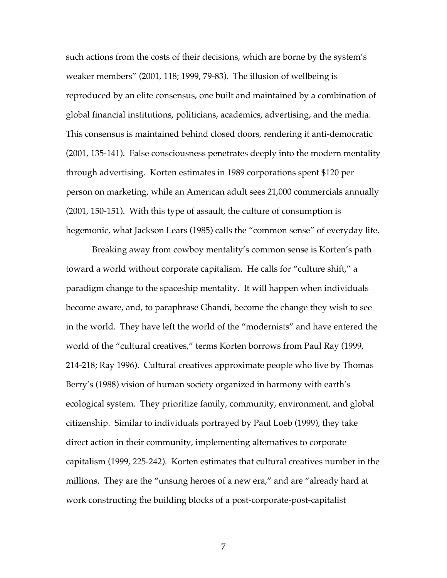such actions from the costs of their decisions, which are borne by the system's weaker members" (2001, 118; 1999, 79-83). The illusion of wellbeing is reproduced by an elite consensus, one built and maintained by a combination of global financial institutions, politicians, academics, advertising, and the media. This consensus is maintained behind closed doors, rendering it anti-democratic (2001, 135-141). False consciousness penetrates deeply into the modern mentality through advertising. Korten estimates in 1989 corporations spent \$120 per person on marketing, while an American adult sees 21,000 commercials annually (2001, 150-151). With this type of assault, the culture of consumption is hegemonic, what Jackson Lears (1985) calls the "common sense" of everyday life.

Breaking away from cowboy mentality's common sense is Korten's path toward a world without corporate capitalism. He calls for "culture shift," a paradigm change to the spaceship mentality. It will happen when individuals become aware, and, to paraphrase Ghandi, become the change they wish to see in the world. They have left the world of the "modernists" and have entered the world of the "cultural creatives," terms Korten borrows from Paul Ray (1999, 214-218; Ray 1996). Cultural creatives approximate people who live by Thomas Berry's (1988) vision of human society organized in harmony with earth's ecological system. They prioritize family, community, environment, and global citizenship. Similar to individuals portrayed by Paul Loeb (1999), they take direct action in their community, implementing alternatives to corporate capitalism (1999, 225-242). Korten estimates that cultural creatives number in the millions. They are the "unsung heroes of a new era," and are "already hard at work constructing the building blocks of a post-corporate-post-capitalist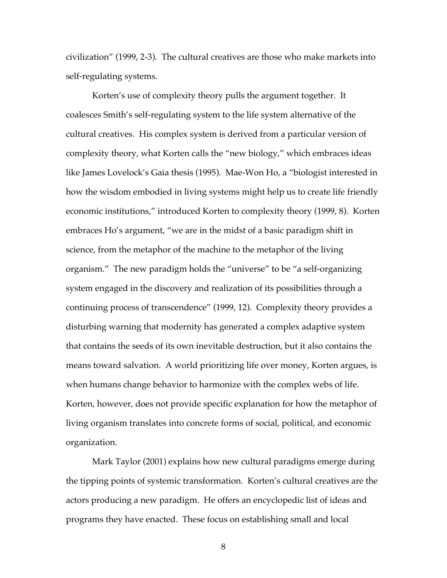civilization" (1999, 2-3). The cultural creatives are those who make markets into self-regulating systems.

Korten's use of complexity theory pulls the argument together. It coalesces Smith's self-regulating system to the life system alternative of the cultural creatives. His complex system is derived from a particular version of complexity theory, what Korten calls the "new biology," which embraces ideas like James Lovelock's Gaia thesis (1995). Mae-Won Ho, a "biologist interested in how the wisdom embodied in living systems might help us to create life friendly economic institutions," introduced Korten to complexity theory (1999, 8). Korten embraces Ho's argument, "we are in the midst of a basic paradigm shift in science, from the metaphor of the machine to the metaphor of the living organism." The new paradigm holds the "universe" to be "a self-organizing system engaged in the discovery and realization of its possibilities through a continuing process of transcendence" (1999, 12). Complexity theory provides a disturbing warning that modernity has generated a complex adaptive system that contains the seeds of its own inevitable destruction, but it also contains the means toward salvation. A world prioritizing life over money, Korten argues, is when humans change behavior to harmonize with the complex webs of life. Korten, however, does not provide specific explanation for how the metaphor of living organism translates into concrete forms of social, political, and economic organization.

Mark Taylor (2001) explains how new cultural paradigms emerge during the tipping points of systemic transformation. Korten's cultural creatives are the actors producing a new paradigm. He offers an encyclopedic list of ideas and programs they have enacted. These focus on establishing small and local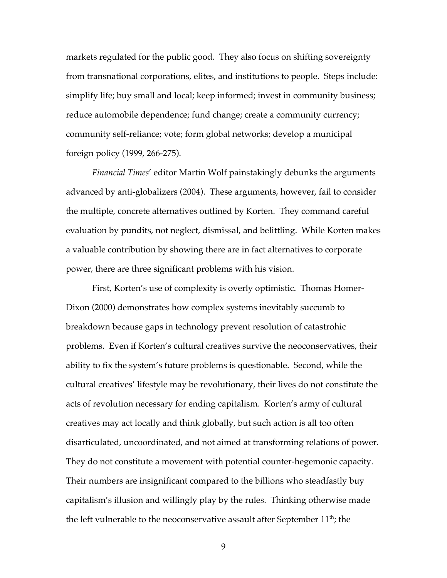markets regulated for the public good. They also focus on shifting sovereignty from transnational corporations, elites, and institutions to people. Steps include: simplify life; buy small and local; keep informed; invest in community business; reduce automobile dependence; fund change; create a community currency; community self-reliance; vote; form global networks; develop a municipal foreign policy (1999, 266-275).

*Financial Times*' editor Martin Wolf painstakingly debunks the arguments advanced by anti-globalizers (2004). These arguments, however, fail to consider the multiple, concrete alternatives outlined by Korten. They command careful evaluation by pundits, not neglect, dismissal, and belittling. While Korten makes a valuable contribution by showing there are in fact alternatives to corporate power, there are three significant problems with his vision.

First, Korten's use of complexity is overly optimistic. Thomas Homer-Dixon (2000) demonstrates how complex systems inevitably succumb to breakdown because gaps in technology prevent resolution of catastrohic problems. Even if Korten's cultural creatives survive the neoconservatives, their ability to fix the system's future problems is questionable. Second, while the cultural creatives' lifestyle may be revolutionary, their lives do not constitute the acts of revolution necessary for ending capitalism. Korten's army of cultural creatives may act locally and think globally, but such action is all too often disarticulated, uncoordinated, and not aimed at transforming relations of power. They do not constitute a movement with potential counter-hegemonic capacity. Their numbers are insignificant compared to the billions who steadfastly buy capitalism's illusion and willingly play by the rules. Thinking otherwise made the left vulnerable to the neoconservative assault after September  $11<sup>th</sup>$ ; the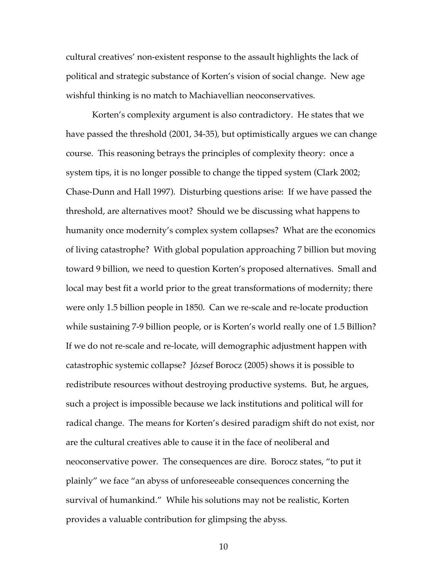cultural creatives' non-existent response to the assault highlights the lack of political and strategic substance of Korten's vision of social change. New age wishful thinking is no match to Machiavellian neoconservatives.

Korten's complexity argument is also contradictory. He states that we have passed the threshold (2001, 34-35), but optimistically argues we can change course. This reasoning betrays the principles of complexity theory: once a system tips, it is no longer possible to change the tipped system (Clark 2002; Chase-Dunn and Hall 1997). Disturbing questions arise: If we have passed the threshold, are alternatives moot? Should we be discussing what happens to humanity once modernity's complex system collapses? What are the economics of living catastrophe? With global population approaching 7 billion but moving toward 9 billion, we need to question Korten's proposed alternatives. Small and local may best fit a world prior to the great transformations of modernity; there were only 1.5 billion people in 1850. Can we re-scale and re-locate production while sustaining 7-9 billion people, or is Korten's world really one of 1.5 Billion? If we do not re-scale and re-locate, will demographic adjustment happen with catastrophic systemic collapse? József Borocz (2005) shows it is possible to redistribute resources without destroying productive systems. But, he argues, such a project is impossible because we lack institutions and political will for radical change. The means for Korten's desired paradigm shift do not exist, nor are the cultural creatives able to cause it in the face of neoliberal and neoconservative power. The consequences are dire. Borocz states, "to put it plainly" we face "an abyss of unforeseeable consequences concerning the survival of humankind." While his solutions may not be realistic, Korten provides a valuable contribution for glimpsing the abyss.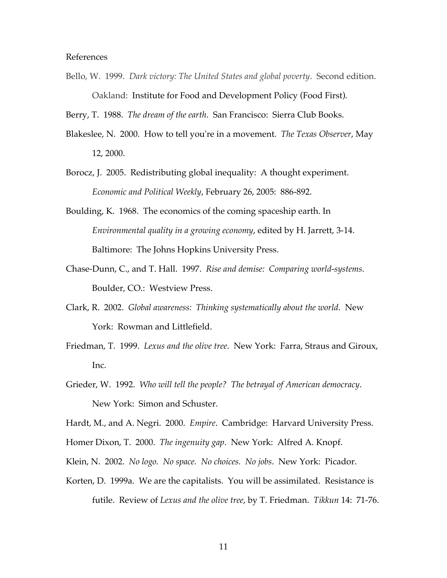## References

Bello, W. 1999. *Dark victory: The United States and global poverty*. Second edition. Oakland: Institute for Food and Development Policy (Food First).

Berry, T. 1988. *The dream of the earth*. San Francisco: Sierra Club Books.

- Blakeslee, N. 2000. How to tell you're in a movement. *The Texas Observer*, May 12, 2000.
- Borocz, J. 2005. Redistributing global inequality: A thought experiment. *Economic and Political Weekly*, February 26, 2005: 886-892.
- Boulding, K. 1968. The economics of the coming spaceship earth. In *Environmental quality in a growing economy*, edited by H. Jarrett, 3-14. Baltimore: The Johns Hopkins University Press.
- Chase-Dunn, C., and T. Hall. 1997. *Rise and demise: Comparing world-systems*. Boulder, CO.: Westview Press.
- Clark, R. 2002. *Global awareness: Thinking systematically about the world*. New York: Rowman and Littlefield.
- Friedman, T. 1999. *Lexus and the olive tree*. New York: Farra, Straus and Giroux, Inc.
- Grieder, W. 1992. *Who will tell the people? The betrayal of American democracy*. New York: Simon and Schuster.

Hardt, M., and A. Negri. 2000. *Empire*. Cambridge: Harvard University Press.

- Homer Dixon, T. 2000. *The ingenuity gap*. New York: Alfred A. Knopf.
- Klein, N. 2002. *No logo. No space. No choices. No jobs*. New York: Picador.
- Korten, D. 1999a. We are the capitalists. You will be assimilated. Resistance is futile. Review of *Lexus and the olive tree*, by T. Friedman. *Tikkun* 14: 71-76.